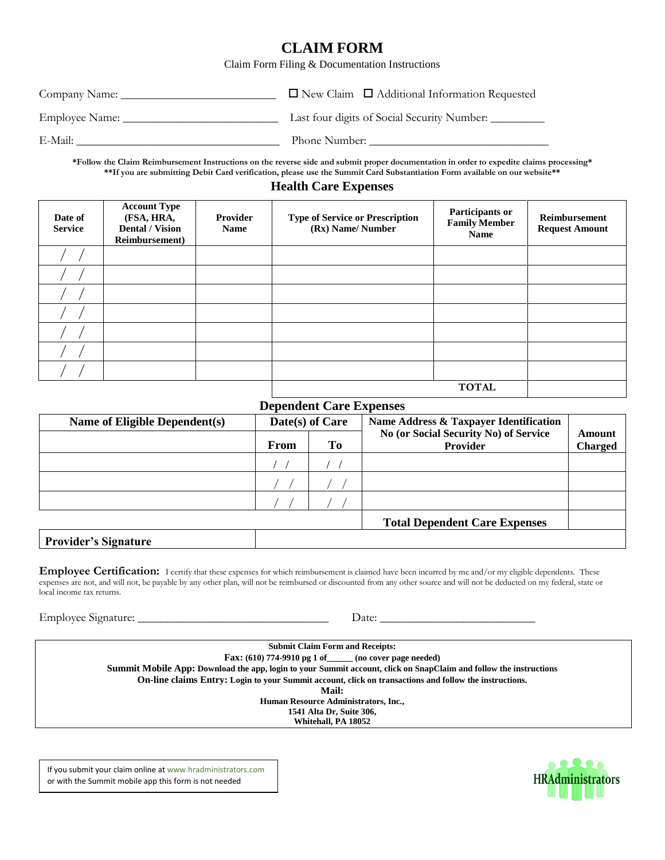## **CLAIM FORM**

Claim Form Filing & Documentation Instructions

| Company Name:  | $\Box$ New Claim $\Box$ Additional Information Requested |
|----------------|----------------------------------------------------------|
| Employee Name: | Last four digits of Social Security Number:              |
| E-Mail:        | Phone Number:                                            |

**\*Follow the Claim Reimbursement Instructions on the reverse side and submit proper documentation in order to expedite claims processing\* \*\*If you are submitting Debit Card verification, please use the Summit Card Substantiation Form available on our website\*\***

## **Health Care Expenses**

| Date of<br><b>Service</b> | <b>Account Type</b><br>(FSA, HRA,<br><b>Dental / Vision</b><br>Reimbursement) | <b>Provider</b><br><b>Name</b> | <b>Type of Service or Prescription</b><br>(Rx) Name/Number | Participants or<br><b>Family Member</b><br><b>Name</b> | Reimbursement<br><b>Request Amount</b> |
|---------------------------|-------------------------------------------------------------------------------|--------------------------------|------------------------------------------------------------|--------------------------------------------------------|----------------------------------------|
|                           |                                                                               |                                |                                                            |                                                        |                                        |
|                           |                                                                               |                                |                                                            |                                                        |                                        |
|                           |                                                                               |                                |                                                            |                                                        |                                        |
|                           |                                                                               |                                |                                                            |                                                        |                                        |
|                           |                                                                               |                                |                                                            |                                                        |                                        |
|                           |                                                                               |                                |                                                            |                                                        |                                        |
|                           |                                                                               |                                |                                                            |                                                        |                                        |
|                           |                                                                               |                                |                                                            | <b>TOTAL</b>                                           |                                        |

### **Dependent Care Expenses**

| Name of Eligible Dependent(s) | Date(s) of Care |    | Name Address & Taxpayer Identification                   |                          |
|-------------------------------|-----------------|----|----------------------------------------------------------|--------------------------|
|                               | <b>From</b>     | To | No (or Social Security No) of Service<br><b>Provider</b> | Amount<br><b>Charged</b> |
|                               |                 |    |                                                          |                          |
|                               |                 |    |                                                          |                          |
|                               |                 |    |                                                          |                          |
|                               |                 |    | <b>Total Dependent Care Expenses</b>                     |                          |
| <b>Provider's Signature</b>   |                 |    |                                                          |                          |

Employee Certification: I certify that these expenses for which reimbursement is claimed have been incurred by me and/or my eligible dependents. These expenses are not, and will not, be payable by any other plan, will not be reimbursed or discounted from any other source and will not be deducted on my federal, state or local income tax returns.

Employee Signature: \_\_\_\_\_\_\_\_\_\_\_\_\_\_\_\_\_\_\_\_\_\_\_\_\_\_\_\_\_\_\_\_ Date: \_\_\_\_\_\_\_\_\_\_\_\_\_\_\_\_\_\_\_\_\_\_\_\_\_\_

**Submit Claim Form and Receipts: Fax: (610) 774-9910 pg 1 of\_\_\_\_\_\_ (no cover page needed) Summit Mobile App: Download the app, login to your Summit account, click on SnapClaim and follow the instructions On-line claims Entry: Login to your Summit account, click on transactions and follow the instructions. Mail: Human Resource Administrators, Inc., 1541 Alta Dr, Suite 306, Whitehall, PA 18052**

If you submit your claim online at www.hradministrators.com or with the Summit mobile app this form is not needed